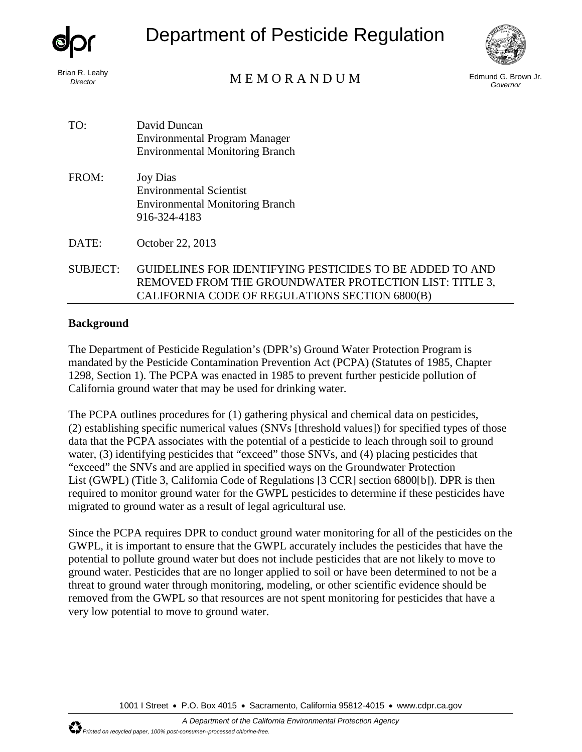

Department of Pesticide Regulation



# Brian R. Leahy<br>*Director* Edmund G. Brown Jr. **Example 2009** M E M O R A N D U M

*Governor*

| David Duncan                           |
|----------------------------------------|
| <b>Environmental Program Manager</b>   |
| <b>Environmental Monitoring Branch</b> |
|                                        |

FROM: Joy Dias Environmental Scientist Environmental Monitoring Branch 916-324-4183

DATE: October 22, 2013

SUBJECT: GUIDELINES FOR IDENTIFYING PESTICIDES TO BE ADDED TO AND REMOVED FROM THE GROUNDWATER PROTECTION LIST: TITLE 3, CALIFORNIA CODE OF REGULATIONS SECTION 6800(B)

### **Background**

The Department of Pesticide Regulation's (DPR's) Ground Water Protection Program is mandated by the Pesticide Contamination Prevention Act (PCPA) (Statutes of 1985, Chapter 1298, Section 1). The PCPA was enacted in 1985 to prevent further pesticide pollution of California ground water that may be used for drinking water.

The PCPA outlines procedures for (1) gathering physical and chemical data on pesticides, (2) establishing specific numerical values (SNVs [threshold values]) for specified types of those data that the PCPA associates with the potential of a pesticide to leach through soil to ground water, (3) identifying pesticides that "exceed" those SNVs, and (4) placing pesticides that "exceed" the SNVs and are applied in specified ways on the Groundwater Protection List (GWPL) (Title 3, California Code of Regulations [3 CCR] section 6800[b]). DPR is then required to monitor ground water for the GWPL pesticides to determine if these pesticides have migrated to ground water as a result of legal agricultural use.

Since the PCPA requires DPR to conduct ground water monitoring for all of the pesticides on the GWPL, it is important to ensure that the GWPL accurately includes the pesticides that have the potential to pollute ground water but does not include pesticides that are not likely to move to ground water. Pesticides that are no longer applied to soil or have been determined to not be a threat to ground water through monitoring, modeling, or other scientific evidence should be removed from the GWPL so that resources are not spent monitoring for pesticides that have a very low potential to move to ground water.

1001 I Street • P.O. Box 4015 • Sacramento, California 95812-4015 • [www.cdpr.ca.gov](http://www.cdpr.ca.gov/)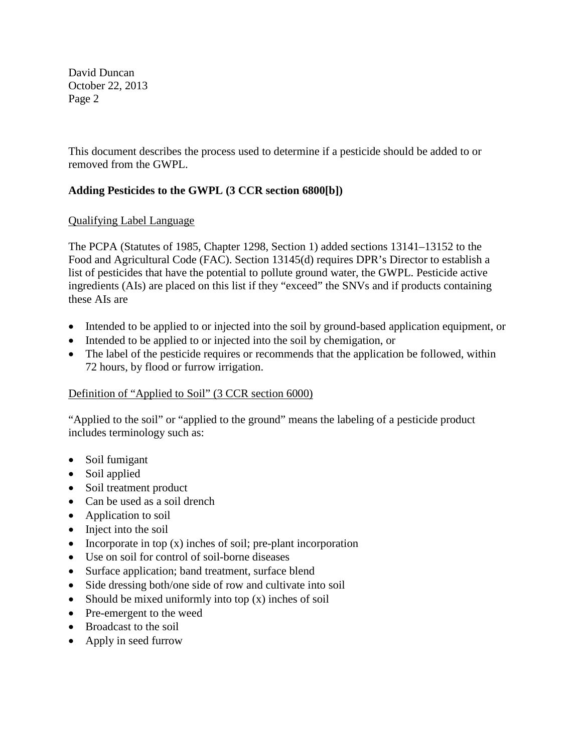This document describes the process used to determine if a pesticide should be added to or removed from the GWPL.

# **Adding Pesticides to the GWPL (3 CCR section 6800[b])**

### Qualifying Label Language

The PCPA (Statutes of 1985, Chapter 1298, Section 1) added sections 13141–13152 to the Food and Agricultural Code (FAC). Section 13145(d) requires DPR's Director to establish a list of pesticides that have the potential to pollute ground water, the GWPL. Pesticide active ingredients (AIs) are placed on this list if they "exceed" the SNVs and if products containing these AIs are

- Intended to be applied to or injected into the soil by ground-based application equipment, or
- Intended to be applied to or injected into the soil by chemigation, or
- The label of the pesticide requires or recommends that the application be followed, within 72 hours, by flood or furrow irrigation.

# Definition of "Applied to Soil" (3 CCR section 6000)

"Applied to the soil" or "applied to the ground" means the labeling of a pesticide product includes terminology such as:

- Soil fumigant
- Soil applied
- Soil treatment product
- Can be used as a soil drench
- Application to soil
- Inject into the soil
- Incorporate in top  $(x)$  inches of soil; pre-plant incorporation
- Use on soil for control of soil-borne diseases
- Surface application; band treatment, surface blend
- Side dressing both/one side of row and cultivate into soil
- Should be mixed uniformly into top (x) inches of soil
- Pre-emergent to the weed
- Broadcast to the soil
- Apply in seed furrow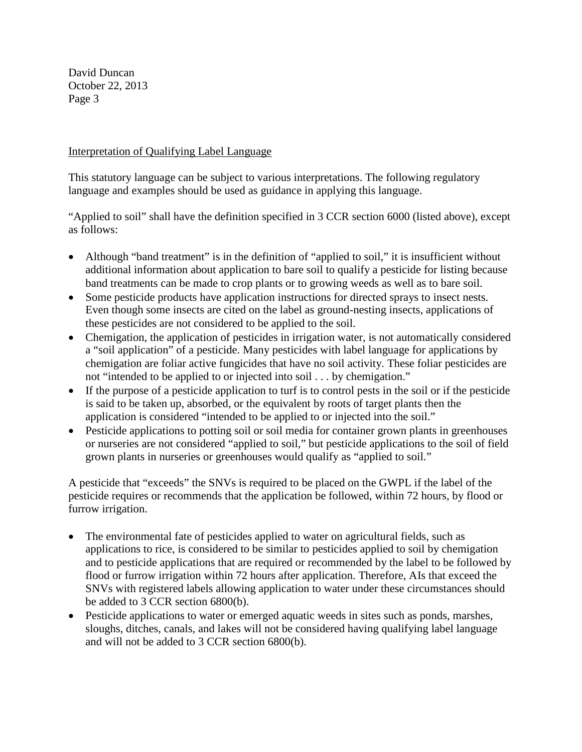### Interpretation of Qualifying Label Language

This statutory language can be subject to various interpretations. The following regulatory language and examples should be used as guidance in applying this language.

"Applied to soil" shall have the definition specified in 3 CCR section 6000 (listed above), except as follows:

- Although "band treatment" is in the definition of "applied to soil," it is insufficient without additional information about application to bare soil to qualify a pesticide for listing because band treatments can be made to crop plants or to growing weeds as well as to bare soil.
- Some pesticide products have application instructions for directed sprays to insect nests. Even though some insects are cited on the label as ground-nesting insects, applications of these pesticides are not considered to be applied to the soil.
- Chemigation, the application of pesticides in irrigation water, is not automatically considered a "soil application" of a pesticide. Many pesticides with label language for applications by chemigation are foliar active fungicides that have no soil activity. These foliar pesticides are not "intended to be applied to or injected into soil . . . by chemigation."
- If the purpose of a pesticide application to turf is to control pests in the soil or if the pesticide is said to be taken up, absorbed, or the equivalent by roots of target plants then the application is considered "intended to be applied to or injected into the soil."
- Pesticide applications to potting soil or soil media for container grown plants in greenhouses or nurseries are not considered "applied to soil," but pesticide applications to the soil of field grown plants in nurseries or greenhouses would qualify as "applied to soil."

A pesticide that "exceeds" the SNVs is required to be placed on the GWPL if the label of the pesticide requires or recommends that the application be followed, within 72 hours, by flood or furrow irrigation.

- The environmental fate of pesticides applied to water on agricultural fields, such as applications to rice, is considered to be similar to pesticides applied to soil by chemigation and to pesticide applications that are required or recommended by the label to be followed by flood or furrow irrigation within 72 hours after application. Therefore, AIs that exceed the SNVs with registered labels allowing application to water under these circumstances should be added to 3 CCR section 6800(b).
- Pesticide applications to water or emerged aquatic weeds in sites such as ponds, marshes, sloughs, ditches, canals, and lakes will not be considered having qualifying label language and will not be added to 3 CCR section 6800(b).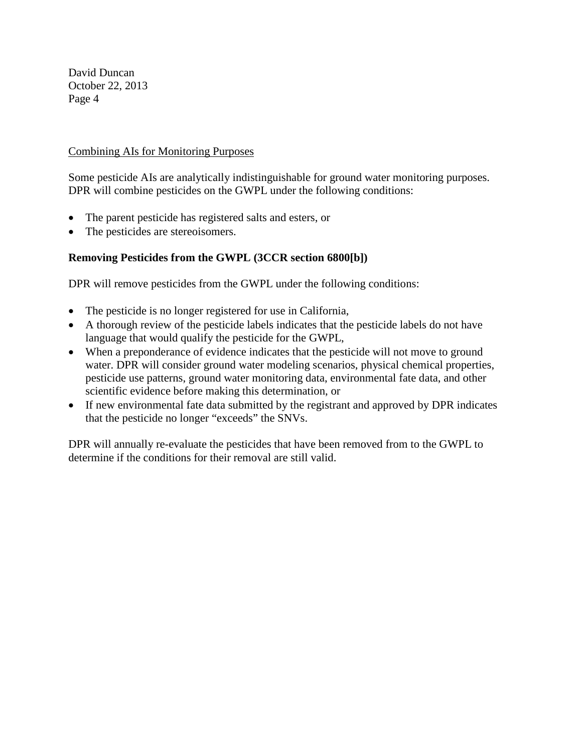#### Combining AIs for Monitoring Purposes

Some pesticide AIs are analytically indistinguishable for ground water monitoring purposes. DPR will combine pesticides on the GWPL under the following conditions:

- The parent pesticide has registered salts and esters, or
- The pesticides are stereoisomers.

# **Removing Pesticides from the GWPL (3CCR section 6800[b])**

DPR will remove pesticides from the GWPL under the following conditions:

- The pesticide is no longer registered for use in California,
- A thorough review of the pesticide labels indicates that the pesticide labels do not have language that would qualify the pesticide for the GWPL,
- When a preponderance of evidence indicates that the pesticide will not move to ground water. DPR will consider ground water modeling scenarios, physical chemical properties, pesticide use patterns, ground water monitoring data, environmental fate data, and other scientific evidence before making this determination, or
- If new environmental fate data submitted by the registrant and approved by DPR indicates that the pesticide no longer "exceeds" the SNVs.

DPR will annually re-evaluate the pesticides that have been removed from to the GWPL to determine if the conditions for their removal are still valid.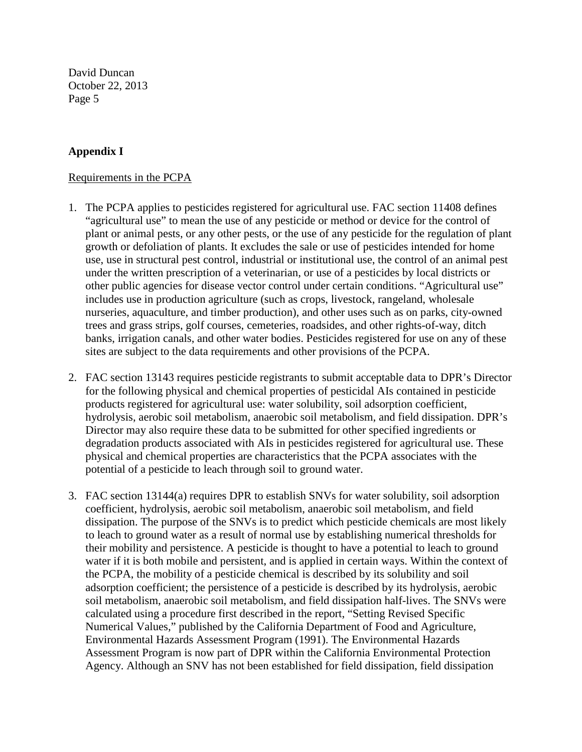### **Appendix I**

#### Requirements in the PCPA

- 1. The PCPA applies to pesticides registered for agricultural use. FAC section 11408 defines "agricultural use" to mean the use of any pesticide or method or device for the control of plant or animal pests, or any other pests, or the use of any pesticide for the regulation of plant growth or defoliation of plants. It excludes the sale or use of pesticides intended for home use, use in structural pest control, industrial or institutional use, the control of an animal pest under the written prescription of a veterinarian, or use of a pesticides by local districts or other public agencies for disease vector control under certain conditions. "Agricultural use" includes use in production agriculture (such as crops, livestock, rangeland, wholesale nurseries, aquaculture, and timber production), and other uses such as on parks, city-owned trees and grass strips, golf courses, cemeteries, roadsides, and other rights-of-way, ditch banks, irrigation canals, and other water bodies. Pesticides registered for use on any of these sites are subject to the data requirements and other provisions of the PCPA.
- 2. FAC section 13143 requires pesticide registrants to submit acceptable data to DPR's Director for the following physical and chemical properties of pesticidal AIs contained in pesticide products registered for agricultural use: water solubility, soil adsorption coefficient, hydrolysis, aerobic soil metabolism, anaerobic soil metabolism, and field dissipation. DPR's Director may also require these data to be submitted for other specified ingredients or degradation products associated with AIs in pesticides registered for agricultural use. These physical and chemical properties are characteristics that the PCPA associates with the potential of a pesticide to leach through soil to ground water.
- 3. FAC section 13144(a) requires DPR to establish SNVs for water solubility, soil adsorption coefficient, hydrolysis, aerobic soil metabolism, anaerobic soil metabolism, and field dissipation. The purpose of the SNVs is to predict which pesticide chemicals are most likely to leach to ground water as a result of normal use by establishing numerical thresholds for their mobility and persistence. A pesticide is thought to have a potential to leach to ground water if it is both mobile and persistent, and is applied in certain ways. Within the context of the PCPA, the mobility of a pesticide chemical is described by its solubility and soil adsorption coefficient; the persistence of a pesticide is described by its hydrolysis, aerobic soil metabolism, anaerobic soil metabolism, and field dissipation half-lives. The SNVs were calculated using a procedure first described in the report, "Setting Revised Specific Numerical Values," published by the California Department of Food and Agriculture, Environmental Hazards Assessment Program (1991). The Environmental Hazards Assessment Program is now part of DPR within the California Environmental Protection Agency. Although an SNV has not been established for field dissipation, field dissipation